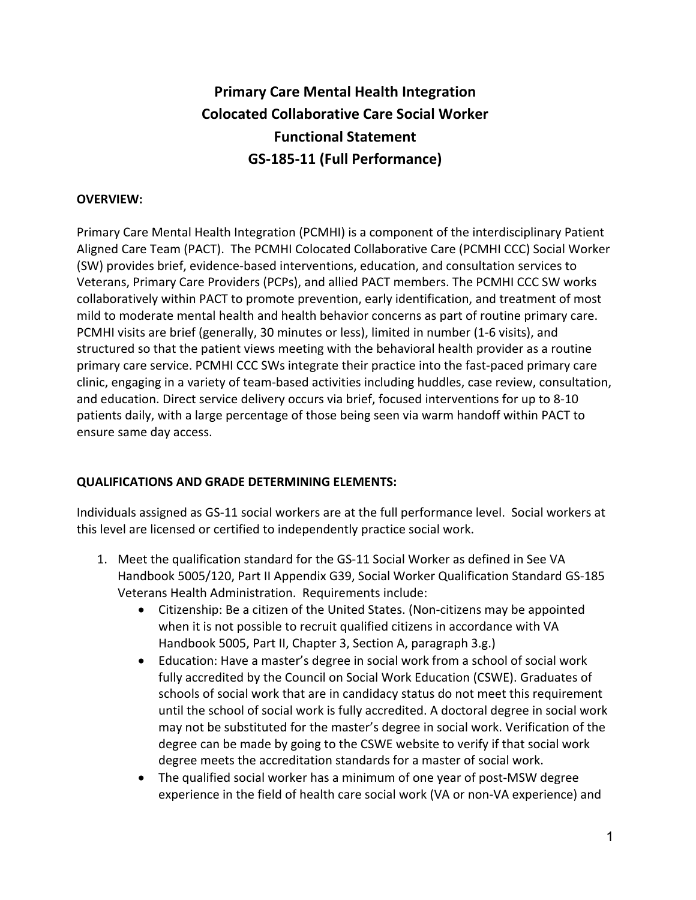# **Primary Care Mental Health Integration Colocated Collaborative Care Social Worker Functional Statement GS-185-11 (Full Performance)**

### **OVERVIEW:**

Primary Care Mental Health Integration (PCMHI) is a component of the interdisciplinary Patient Aligned Care Team (PACT). The PCMHI Colocated Collaborative Care (PCMHI CCC) Social Worker (SW) provides brief, evidence-based interventions, education, and consultation services to Veterans, Primary Care Providers (PCPs), and allied PACT members. The PCMHI CCC SW works collaboratively within PACT to promote prevention, early identification, and treatment of most mild to moderate mental health and health behavior concerns as part of routine primary care. PCMHI visits are brief (generally, 30 minutes or less), limited in number (1-6 visits), and structured so that the patient views meeting with the behavioral health provider as a routine primary care service. PCMHI CCC SWs integrate their practice into the fast-paced primary care clinic, engaging in a variety of team-based activities including huddles, case review, consultation, and education. Direct service delivery occurs via brief, focused interventions for up to 8-10 patients daily, with a large percentage of those being seen via warm handoff within PACT to ensure same day access.

#### **QUALIFICATIONS AND GRADE DETERMINING ELEMENTS:**

Individuals assigned as GS-11 social workers are at the full performance level. Social workers at this level are licensed or certified to independently practice social work.

- 1. Meet the qualification standard for the GS-11 Social Worker as defined in See VA Handbook 5005/120, Part II Appendix G39, Social Worker Qualification Standard GS-185 Veterans Health Administration. Requirements include:
	- Citizenship: Be a citizen of the United States. (Non-citizens may be appointed when it is not possible to recruit qualified citizens in accordance with VA Handbook 5005, Part II, Chapter 3, Section A, paragraph 3.g.)
	- Education: Have a master's degree in social work from a school of social work fully accredited by the Council on Social Work Education (CSWE). Graduates of schools of social work that are in candidacy status do not meet this requirement until the school of social work is fully accredited. A doctoral degree in social work may not be substituted for the master's degree in social work. Verification of the degree can be made by going to the CSWE website to verify if that social work degree meets the accreditation standards for a master of social work.
	- The qualified social worker has a minimum of one year of post-MSW degree experience in the field of health care social work (VA or non-VA experience) and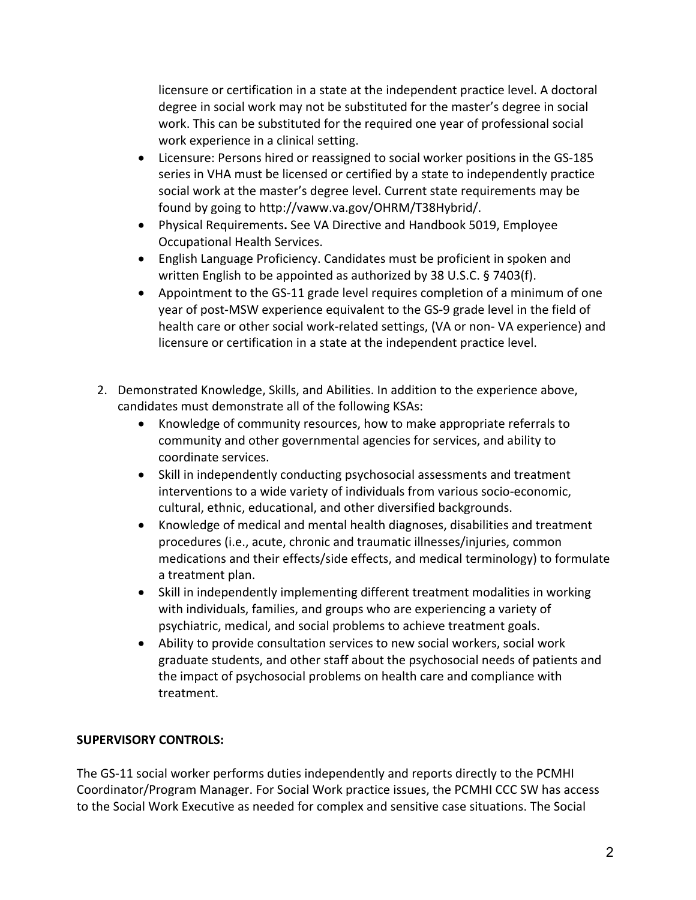licensure or certification in a state at the independent practice level. A doctoral degree in social work may not be substituted for the master's degree in social work. This can be substituted for the required one year of professional social work experience in a clinical setting.

- Licensure: Persons hired or reassigned to social worker positions in the GS-185 series in VHA must be licensed or certified by a state to independently practice social work at the master's degree level. Current state requirements may be found by going to http://vaww.va.gov/OHRM/T38Hybrid/.
- Physical Requirements**.** See VA Directive and Handbook 5019, Employee Occupational Health Services.
- English Language Proficiency. Candidates must be proficient in spoken and written English to be appointed as authorized by 38 U.S.C. § 7403(f).
- Appointment to the GS-11 grade level requires completion of a minimum of one year of post-MSW experience equivalent to the GS-9 grade level in the field of health care or other social work-related settings, (VA or non- VA experience) and licensure or certification in a state at the independent practice level.
- 2. Demonstrated Knowledge, Skills, and Abilities. In addition to the experience above, candidates must demonstrate all of the following KSAs:
	- Knowledge of community resources, how to make appropriate referrals to community and other governmental agencies for services, and ability to coordinate services.
	- Skill in independently conducting psychosocial assessments and treatment interventions to a wide variety of individuals from various socio-economic, cultural, ethnic, educational, and other diversified backgrounds.
	- Knowledge of medical and mental health diagnoses, disabilities and treatment procedures (i.e., acute, chronic and traumatic illnesses/injuries, common medications and their effects/side effects, and medical terminology) to formulate a treatment plan.
	- Skill in independently implementing different treatment modalities in working with individuals, families, and groups who are experiencing a variety of psychiatric, medical, and social problems to achieve treatment goals.
	- Ability to provide consultation services to new social workers, social work graduate students, and other staff about the psychosocial needs of patients and the impact of psychosocial problems on health care and compliance with treatment.

# **SUPERVISORY CONTROLS:**

The GS-11 social worker performs duties independently and reports directly to the PCMHI Coordinator/Program Manager. For Social Work practice issues, the PCMHI CCC SW has access to the Social Work Executive as needed for complex and sensitive case situations. The Social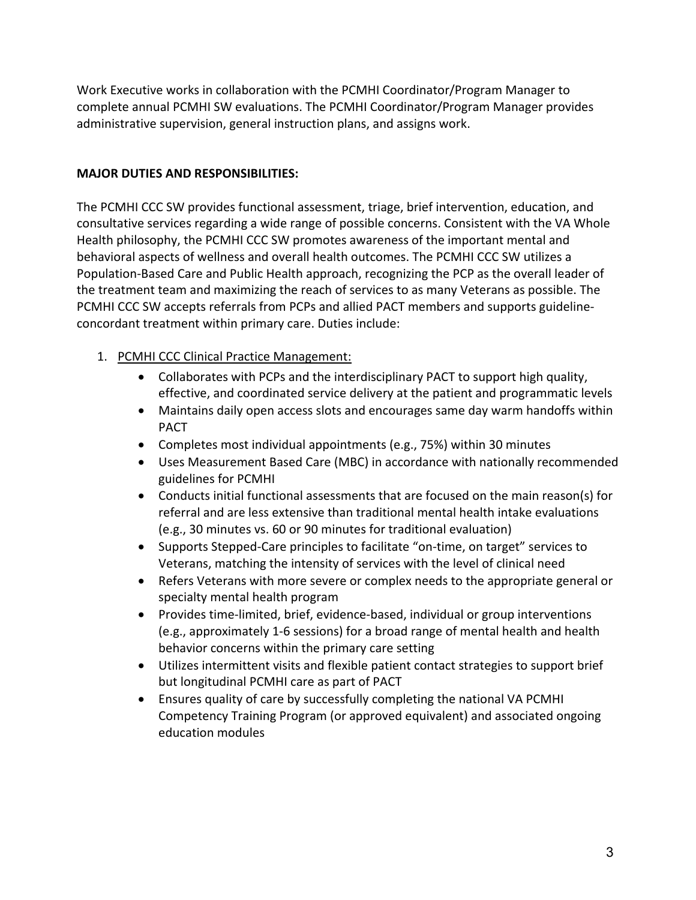Work Executive works in collaboration with the PCMHI Coordinator/Program Manager to complete annual PCMHI SW evaluations. The PCMHI Coordinator/Program Manager provides administrative supervision, general instruction plans, and assigns work.

### **MAJOR DUTIES AND RESPONSIBILITIES:**

The PCMHI CCC SW provides functional assessment, triage, brief intervention, education, and consultative services regarding a wide range of possible concerns. Consistent with the VA Whole Health philosophy, the PCMHI CCC SW promotes awareness of the important mental and behavioral aspects of wellness and overall health outcomes. The PCMHI CCC SW utilizes a Population-Based Care and Public Health approach, recognizing the PCP as the overall leader of the treatment team and maximizing the reach of services to as many Veterans as possible. The PCMHI CCC SW accepts referrals from PCPs and allied PACT members and supports guidelineconcordant treatment within primary care. Duties include:

- 1. PCMHI CCC Clinical Practice Management:
	- Collaborates with PCPs and the interdisciplinary PACT to support high quality, effective, and coordinated service delivery at the patient and programmatic levels
	- Maintains daily open access slots and encourages same day warm handoffs within PACT
	- Completes most individual appointments (e.g., 75%) within 30 minutes
	- Uses Measurement Based Care (MBC) in accordance with nationally recommended guidelines for PCMHI
	- Conducts initial functional assessments that are focused on the main reason(s) for referral and are less extensive than traditional mental health intake evaluations (e.g., 30 minutes vs. 60 or 90 minutes for traditional evaluation)
	- Supports Stepped-Care principles to facilitate "on-time, on target" services to Veterans, matching the intensity of services with the level of clinical need
	- Refers Veterans with more severe or complex needs to the appropriate general or specialty mental health program
	- Provides time-limited, brief, evidence-based, individual or group interventions (e.g., approximately 1-6 sessions) for a broad range of mental health and health behavior concerns within the primary care setting
	- Utilizes intermittent visits and flexible patient contact strategies to support brief but longitudinal PCMHI care as part of PACT
	- Ensures quality of care by successfully completing the national VA PCMHI Competency Training Program (or approved equivalent) and associated ongoing education modules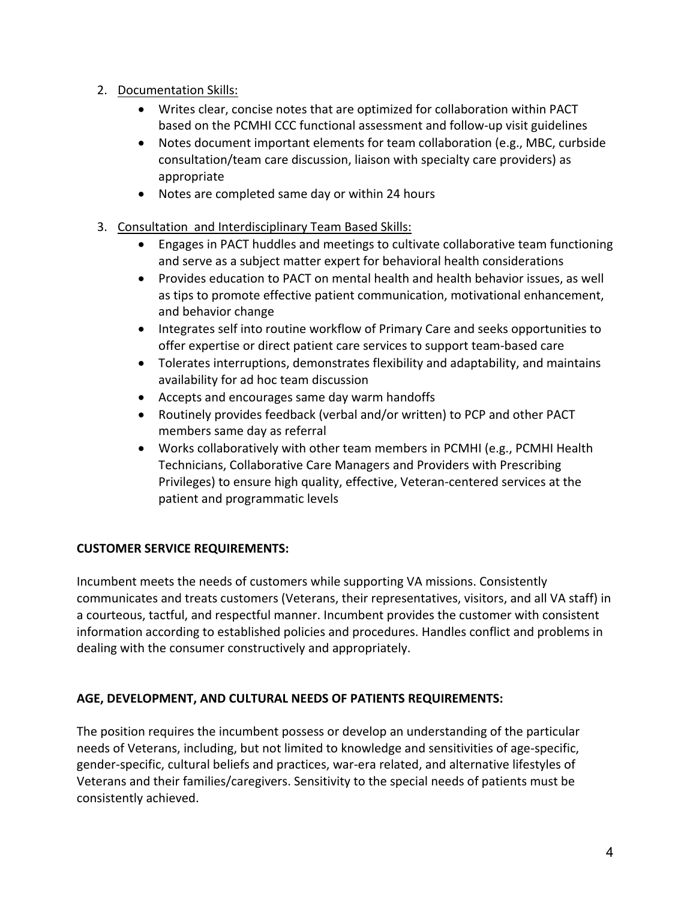- 2. Documentation Skills:
	- Writes clear, concise notes that are optimized for collaboration within PACT based on the PCMHI CCC functional assessment and follow-up visit guidelines
	- Notes document important elements for team collaboration (e.g., MBC, curbside consultation/team care discussion, liaison with specialty care providers) as appropriate
	- Notes are completed same day or within 24 hours
- 3. Consultation and Interdisciplinary Team Based Skills:
	- Engages in PACT huddles and meetings to cultivate collaborative team functioning and serve as a subject matter expert for behavioral health considerations
	- Provides education to PACT on mental health and health behavior issues, as well as tips to promote effective patient communication, motivational enhancement, and behavior change
	- Integrates self into routine workflow of Primary Care and seeks opportunities to offer expertise or direct patient care services to support team-based care
	- Tolerates interruptions, demonstrates flexibility and adaptability, and maintains availability for ad hoc team discussion
	- Accepts and encourages same day warm handoffs
	- Routinely provides feedback (verbal and/or written) to PCP and other PACT members same day as referral
	- Works collaboratively with other team members in PCMHI (e.g., PCMHI Health Technicians, Collaborative Care Managers and Providers with Prescribing Privileges) to ensure high quality, effective, Veteran-centered services at the patient and programmatic levels

# **CUSTOMER SERVICE REQUIREMENTS:**

Incumbent meets the needs of customers while supporting VA missions. Consistently communicates and treats customers (Veterans, their representatives, visitors, and all VA staff) in a courteous, tactful, and respectful manner. Incumbent provides the customer with consistent information according to established policies and procedures. Handles conflict and problems in dealing with the consumer constructively and appropriately.

#### **AGE, DEVELOPMENT, AND CULTURAL NEEDS OF PATIENTS REQUIREMENTS:**

The position requires the incumbent possess or develop an understanding of the particular needs of Veterans, including, but not limited to knowledge and sensitivities of age-specific, gender-specific, cultural beliefs and practices, war-era related, and alternative lifestyles of Veterans and their families/caregivers. Sensitivity to the special needs of patients must be consistently achieved.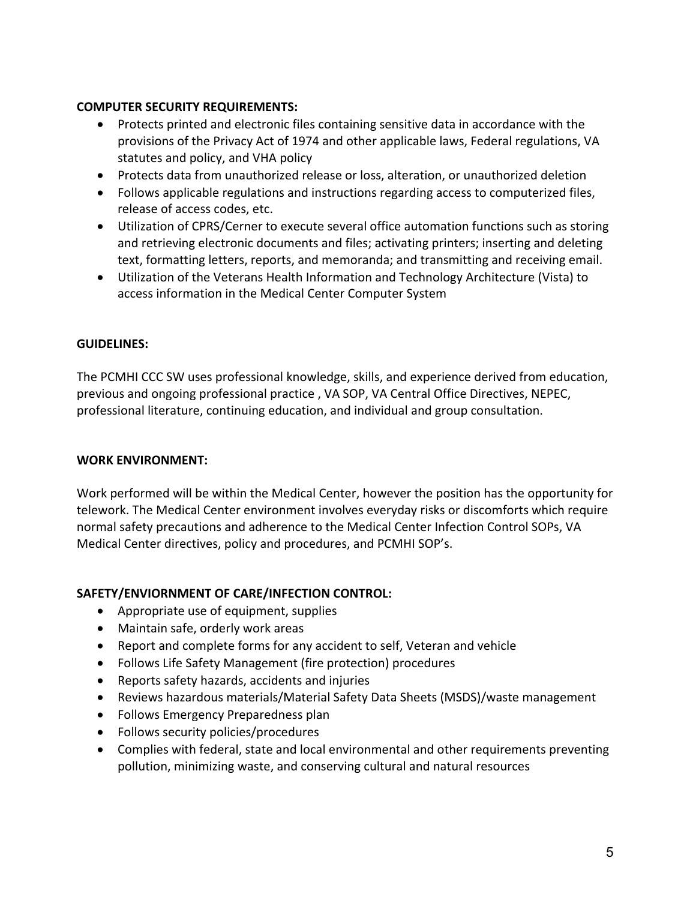#### **COMPUTER SECURITY REQUIREMENTS:**

- Protects printed and electronic files containing sensitive data in accordance with the provisions of the Privacy Act of 1974 and other applicable laws, Federal regulations, VA statutes and policy, and VHA policy
- Protects data from unauthorized release or loss, alteration, or unauthorized deletion
- Follows applicable regulations and instructions regarding access to computerized files, release of access codes, etc.
- Utilization of CPRS/Cerner to execute several office automation functions such as storing and retrieving electronic documents and files; activating printers; inserting and deleting text, formatting letters, reports, and memoranda; and transmitting and receiving email.
- Utilization of the Veterans Health Information and Technology Architecture (Vista) to access information in the Medical Center Computer System

## **GUIDELINES:**

The PCMHI CCC SW uses professional knowledge, skills, and experience derived from education, previous and ongoing professional practice , VA SOP, VA Central Office Directives, NEPEC, professional literature, continuing education, and individual and group consultation.

#### **WORK ENVIRONMENT:**

Work performed will be within the Medical Center, however the position has the opportunity for telework. The Medical Center environment involves everyday risks or discomforts which require normal safety precautions and adherence to the Medical Center Infection Control SOPs, VA Medical Center directives, policy and procedures, and PCMHI SOP's.

# **SAFETY/ENVIORNMENT OF CARE/INFECTION CONTROL:**

- Appropriate use of equipment, supplies
- Maintain safe, orderly work areas
- Report and complete forms for any accident to self, Veteran and vehicle
- Follows Life Safety Management (fire protection) procedures
- Reports safety hazards, accidents and injuries
- Reviews hazardous materials/Material Safety Data Sheets (MSDS)/waste management
- Follows Emergency Preparedness plan
- Follows security policies/procedures
- Complies with federal, state and local environmental and other requirements preventing pollution, minimizing waste, and conserving cultural and natural resources